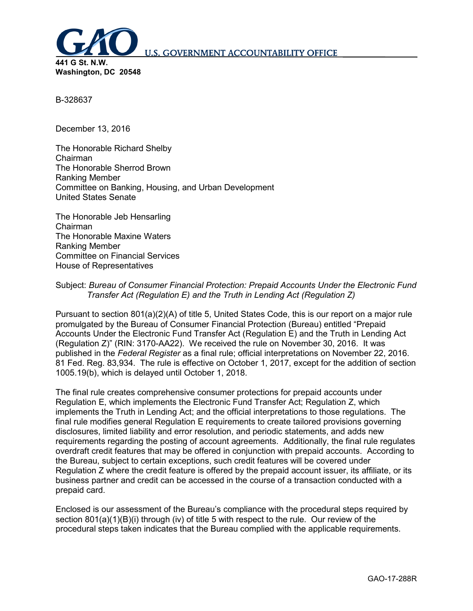

B-328637

December 13, 2016

The Honorable Richard Shelby Chairman The Honorable Sherrod Brown Ranking Member Committee on Banking, Housing, and Urban Development United States Senate

The Honorable Jeb Hensarling Chairman The Honorable Maxine Waters Ranking Member Committee on Financial Services House of Representatives

# Subject: *Bureau of Consumer Financial Protection: Prepaid Accounts Under the Electronic Fund Transfer Act (Regulation E) and the Truth in Lending Act (Regulation Z)*

Pursuant to section 801(a)(2)(A) of title 5, United States Code, this is our report on a major rule promulgated by the Bureau of Consumer Financial Protection (Bureau) entitled "Prepaid Accounts Under the Electronic Fund Transfer Act (Regulation E) and the Truth in Lending Act (Regulation Z)" (RIN: 3170-AA22). We received the rule on November 30, 2016. It was published in the *Federal Register* as a final rule; official interpretations on November 22, 2016. 81 Fed. Reg. 83,934. The rule is effective on October 1, 2017, except for the addition of section 1005.19(b), which is delayed until October 1, 2018.

The final rule creates comprehensive consumer protections for prepaid accounts under Regulation E, which implements the Electronic Fund Transfer Act; Regulation Z, which implements the Truth in Lending Act; and the official interpretations to those regulations. The final rule modifies general Regulation E requirements to create tailored provisions governing disclosures, limited liability and error resolution, and periodic statements, and adds new requirements regarding the posting of account agreements. Additionally, the final rule regulates overdraft credit features that may be offered in conjunction with prepaid accounts. According to the Bureau, subject to certain exceptions, such credit features will be covered under Regulation Z where the credit feature is offered by the prepaid account issuer, its affiliate, or its business partner and credit can be accessed in the course of a transaction conducted with a prepaid card.

Enclosed is our assessment of the Bureau's compliance with the procedural steps required by section 801(a)(1)(B)(i) through (iv) of title 5 with respect to the rule. Our review of the procedural steps taken indicates that the Bureau complied with the applicable requirements.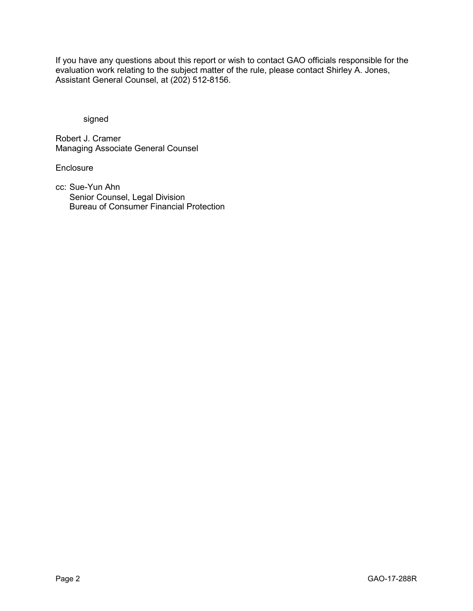If you have any questions about this report or wish to contact GAO officials responsible for the evaluation work relating to the subject matter of the rule, please contact Shirley A. Jones, Assistant General Counsel, at (202) 512-8156.

signed

Robert J. Cramer Managing Associate General Counsel

**Enclosure** 

cc: Sue-Yun Ahn Senior Counsel, Legal Division Bureau of Consumer Financial Protection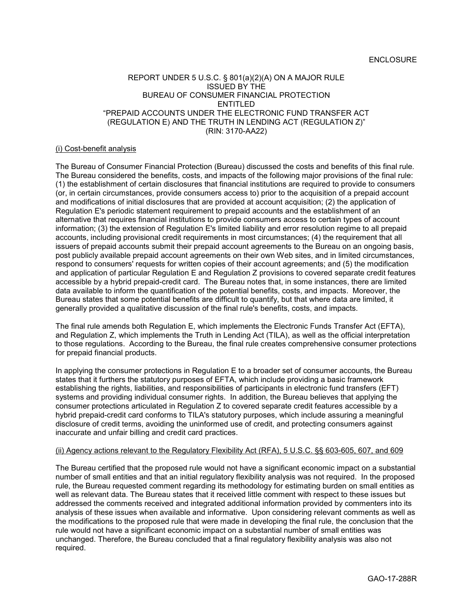## REPORT UNDER 5 U.S.C. § 801(a)(2)(A) ON A MAJOR RULE ISSUED BY THE BUREAU OF CONSUMER FINANCIAL PROTECTION ENTITLED "PREPAID ACCOUNTS UNDER THE ELECTRONIC FUND TRANSFER ACT (REGULATION E) AND THE TRUTH IN LENDING ACT (REGULATION Z)" (RIN: 3170-AA22)

### (i) Cost-benefit analysis

The Bureau of Consumer Financial Protection (Bureau) discussed the costs and benefits of this final rule. The Bureau considered the benefits, costs, and impacts of the following major provisions of the final rule: (1) the establishment of certain disclosures that financial institutions are required to provide to consumers (or, in certain circumstances, provide consumers access to) prior to the acquisition of a prepaid account and modifications of initial disclosures that are provided at account acquisition; (2) the application of Regulation E's periodic statement requirement to prepaid accounts and the establishment of an alternative that requires financial institutions to provide consumers access to certain types of account information; (3) the extension of Regulation E's limited liability and error resolution regime to all prepaid accounts, including provisional credit requirements in most circumstances; (4) the requirement that all issuers of prepaid accounts submit their prepaid account agreements to the Bureau on an ongoing basis, post publicly available prepaid account agreements on their own Web sites, and in limited circumstances, respond to consumers' requests for written copies of their account agreements; and (5) the modification and application of particular Regulation E and Regulation Z provisions to covered separate credit features accessible by a hybrid prepaid-credit card. The Bureau notes that, in some instances, there are limited data available to inform the quantification of the potential benefits, costs, and impacts. Moreover, the Bureau states that some potential benefits are difficult to quantify, but that where data are limited, it generally provided a qualitative discussion of the final rule's benefits, costs, and impacts.

The final rule amends both Regulation E, which implements the Electronic Funds Transfer Act (EFTA), and Regulation Z, which implements the Truth in Lending Act (TILA), as well as the official interpretation to those regulations. According to the Bureau, the final rule creates comprehensive consumer protections for prepaid financial products.

In applying the consumer protections in Regulation E to a broader set of consumer accounts, the Bureau states that it furthers the statutory purposes of EFTA, which include providing a basic framework establishing the rights, liabilities, and responsibilities of participants in electronic fund transfers (EFT) systems and providing individual consumer rights. In addition, the Bureau believes that applying the consumer protections articulated in Regulation Z to covered separate credit features accessible by a hybrid prepaid-credit card conforms to TILA's statutory purposes, which include assuring a meaningful disclosure of credit terms, avoiding the uninformed use of credit, and protecting consumers against inaccurate and unfair billing and credit card practices.

#### (ii) Agency actions relevant to the Regulatory Flexibility Act (RFA), 5 U.S.C. §§ 603-605, 607, and 609

The Bureau certified that the proposed rule would not have a significant economic impact on a substantial number of small entities and that an initial regulatory flexibility analysis was not required. In the proposed rule, the Bureau requested comment regarding its methodology for estimating burden on small entities as well as relevant data. The Bureau states that it received little comment with respect to these issues but addressed the comments received and integrated additional information provided by commenters into its analysis of these issues when available and informative. Upon considering relevant comments as well as the modifications to the proposed rule that were made in developing the final rule, the conclusion that the rule would not have a significant economic impact on a substantial number of small entities was unchanged. Therefore, the Bureau concluded that a final regulatory flexibility analysis was also not required.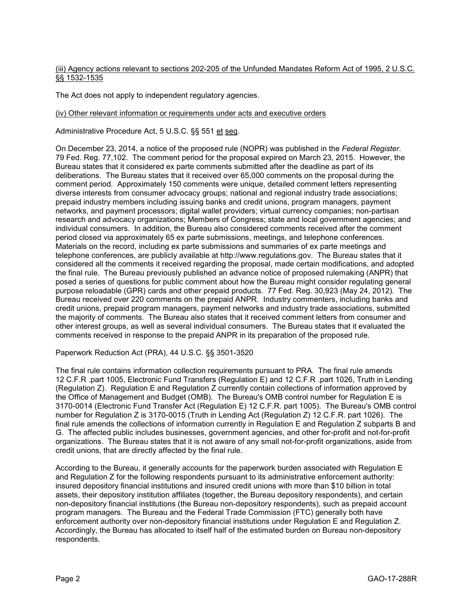(iii) Agency actions relevant to sections 202-205 of the Unfunded Mandates Reform Act of 1995, 2 U.S.C. §§ 1532-1535

The Act does not apply to independent regulatory agencies.

## (iv) Other relevant information or requirements under acts and executive orders

Administrative Procedure Act, 5 U.S.C. §§ 551 et seq.

On December 23, 2014, a notice of the proposed rule (NOPR) was published in the *Federal Register*. 79 Fed. Reg. 77,102. The comment period for the proposal expired on March 23, 2015. However, the Bureau states that it considered ex parte comments submitted after the deadline as part of its deliberations. The Bureau states that it received over 65,000 comments on the proposal during the comment period. Approximately 150 comments were unique, detailed comment letters representing diverse interests from consumer advocacy groups; national and regional industry trade associations; prepaid industry members including issuing banks and credit unions, program managers, payment networks, and payment processors; digital wallet providers; virtual currency companies; non-partisan research and advocacy organizations; Members of Congress; state and local government agencies; and individual consumers. In addition, the Bureau also considered comments received after the comment period closed via approximately 65 ex parte submissions, meetings, and telephone conferences. Materials on the record, including ex parte submissions and summaries of ex parte meetings and telephone conferences, are publicly available at http://www.regulations.gov. The Bureau states that it considered all the comments it received regarding the proposal, made certain modifications, and adopted the final rule. The Bureau previously published an advance notice of proposed rulemaking (ANPR) that posed a series of questions for public comment about how the Bureau might consider regulating general purpose reloadable (GPR) cards and other prepaid products. 77 Fed. Reg. 30,923 (May 24, 2012). The Bureau received over 220 comments on the prepaid ANPR. Industry commenters, including banks and credit unions, prepaid program managers, payment networks and industry trade associations, submitted the majority of comments. The Bureau also states that it received comment letters from consumer and other interest groups, as well as several individual consumers. The Bureau states that it evaluated the comments received in response to the prepaid ANPR in its preparation of the proposed rule.

Paperwork Reduction Act (PRA), 44 U.S.C. §§ 3501-3520

The final rule contains information collection requirements pursuant to PRA. The final rule amends 12 C.F.R .part 1005, Electronic Fund Transfers (Regulation E) and 12 C.F.R .part 1026, Truth in Lending (Regulation Z). Regulation E and Regulation Z currently contain collections of information approved by the Office of Management and Budget (OMB). The Bureau's OMB control number for Regulation E is 3170-0014 (Electronic Fund Transfer Act (Regulation E) 12 C.F.R. part 1005). The Bureau's OMB control number for Regulation Z is 3170-0015 (Truth in Lending Act (Regulation Z) 12 C.F.R. part 1026). The final rule amends the collections of information currently in Regulation E and Regulation Z subparts B and G. The affected public includes businesses, government agencies, and other for-profit and not-for-profit organizations. The Bureau states that it is not aware of any small not-for-profit organizations, aside from credit unions, that are directly affected by the final rule.

According to the Bureau, it generally accounts for the paperwork burden associated with Regulation E and Regulation Z for the following respondents pursuant to its administrative enforcement authority: insured depository financial institutions and insured credit unions with more than \$10 billion in total assets, their depository institution affiliates (together, the Bureau depository respondents), and certain non-depository financial institutions (the Bureau non-depository respondents), such as prepaid account program managers. The Bureau and the Federal Trade Commission (FTC) generally both have enforcement authority over non-depository financial institutions under Regulation E and Regulation Z. Accordingly, the Bureau has allocated to itself half of the estimated burden on Bureau non-depository respondents.